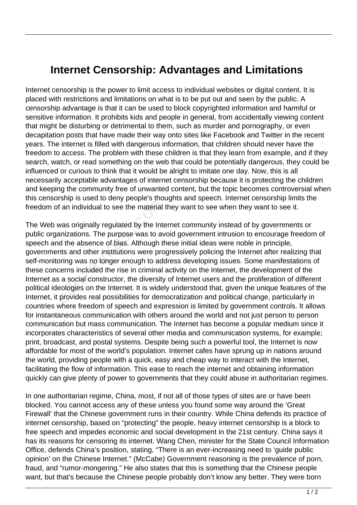## **Internet Censorship: Advantages and Limitations**

Internet censorship is the power to limit access to individual websites or digital content. It is placed with restrictions and limitations on what is to be put out and seen by the public. A censorship advantage is that it can be used to block copyrighted information and harmful or sensitive information. It prohibits kids and people in general, from accidentally viewing content that might be disturbing or detrimental to them, such as murder and pornography, or even decapitation posts that have made their way onto sites like Facebook and Twitter in the recent years. The internet is filled with dangerous information, that children should never have the freedom to access. The problem with these children is that they learn from example, and if they search, watch, or read something on the web that could be potentially dangerous, they could be influenced or curious to think that it would be alright to imitate one day. Now, this is all necessarily acceptable advantages of internet censorship because it is protecting the children and keeping the community free of unwanted content, but the topic becomes controversial when this censorship is used to deny people's thoughts and speech. Internet censorship limits the freedom of an individual to see the material they want to see when they want to see it.

The Web was originally regulated by the Internet community instead of by governments or public organizations. The purpose was to avoid government intrusion to encourage freedom of speech and the absence of bias. Although these initial ideas were noble in principle, governments and other institutions were progressively policing the Internet after realizing that self-monitoring was no longer enough to address developing issues. Some manifestations of these concerns included the rise in criminal activity on the Internet, the development of the Internet as a social constructor, the diversity of Internet users and the proliferation of different political ideologies on the Internet. It is widely understood that, given the unique features of the Internet, it provides real possibilities for democratization and political change, particularly in countries where freedom of speech and expression is limited by government controls. It allows for instantaneous communication with others around the world and not just person to person communication but mass communication. The Internet has become a popular medium since it incorporates characteristics of several other media and communication systems, for example; print, broadcast, and postal systems. Despite being such a powerful tool, the Internet is now affordable for most of the world's population. Internet cafes have sprung up in nations around the world, providing people with a quick, easy and cheap way to interact with the Internet, facilitating the flow of information. This ease to reach the internet and obtaining information quickly can give plenty of power to governments that they could abuse in authoritarian regimes. Family interest to analy proper states in the family for an individual to see the material is<br>was originally regulated by the Internizations. The purpose was to avered that that and other institutions were pro<br>pring was no

In one authoritarian regime, China, most, if not all of those types of sites are or have been blocked. You cannot access any of these unless you found some way around the 'Great Firewall' that the Chinese government runs in their country. While China defends its practice of internet censorship, based on "protecting" the people, heavy internet censorship is a block to free speech and impedes economic and social development in the 21st century. China says it has its reasons for censoring its internet. Wang Chen, minister for the State Council Information Office, defends China's position, stating, "There is an ever-increasing need to 'guide public opinion' on the Chinese Internet." (McCabe) Government reasoning is the prevalence of porn, fraud, and "rumor-mongering." He also states that this is something that the Chinese people want, but that's because the Chinese people probably don't know any better. They were born